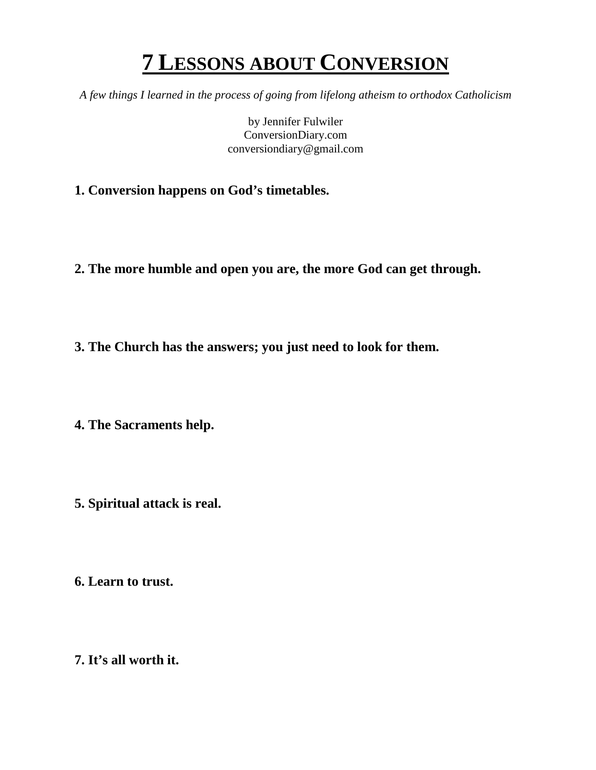# **7 LESSONS ABOUT CONVERSION**

*A few things I learned in the process of going from lifelong atheism to orthodox Catholicism*

by Jennifer Fulwiler ConversionDiary.com conversiondiary@gmail.com

- **1. Conversion happens on God's timetables.**
- **2. The more humble and open you are, the more God can get through.**
- **3. The Church has the answers; you just need to look for them.**

**4. The Sacraments help.**

- **5. Spiritual attack is real.**
- **6. Learn to trust.**
- **7. It's all worth it.**